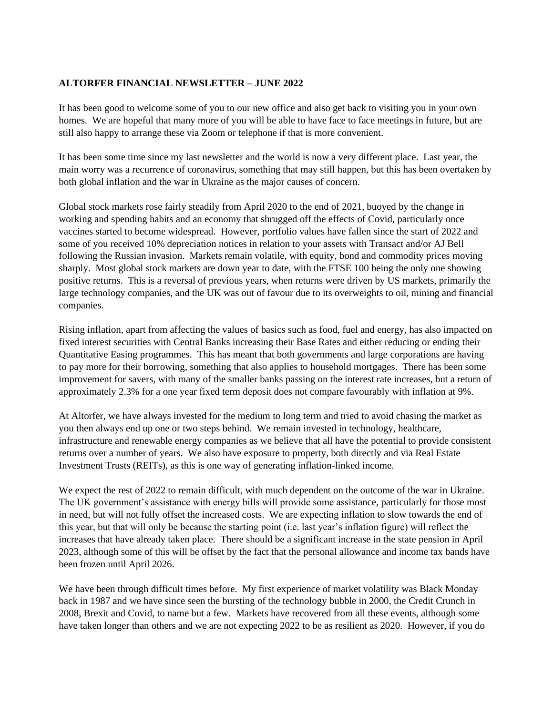## **ALTORFER FINANCIAL NEWSLETTER – JUNE 2022**

It has been good to welcome some of you to our new office and also get back to visiting you in your own homes. We are hopeful that many more of you will be able to have face to face meetings in future, but are still also happy to arrange these via Zoom or telephone if that is more convenient.

It has been some time since my last newsletter and the world is now a very different place. Last year, the main worry was a recurrence of coronavirus, something that may still happen, but this has been overtaken by both global inflation and the war in Ukraine as the major causes of concern.

Global stock markets rose fairly steadily from April 2020 to the end of 2021, buoyed by the change in working and spending habits and an economy that shrugged off the effects of Covid, particularly once vaccines started to become widespread. However, portfolio values have fallen since the start of 2022 and some of you received 10% depreciation notices in relation to your assets with Transact and/or AJ Bell following the Russian invasion. Markets remain volatile, with equity, bond and commodity prices moving sharply. Most global stock markets are down year to date, with the FTSE 100 being the only one showing positive returns. This is a reversal of previous years, when returns were driven by US markets, primarily the large technology companies, and the UK was out of favour due to its overweights to oil, mining and financial companies.

Rising inflation, apart from affecting the values of basics such as food, fuel and energy, has also impacted on fixed interest securities with Central Banks increasing their Base Rates and either reducing or ending their Quantitative Easing programmes. This has meant that both governments and large corporations are having to pay more for their borrowing, something that also applies to household mortgages. There has been some improvement for savers, with many of the smaller banks passing on the interest rate increases, but a return of approximately 2.3% for a one year fixed term deposit does not compare favourably with inflation at 9%.

At Altorfer, we have always invested for the medium to long term and tried to avoid chasing the market as you then always end up one or two steps behind. We remain invested in technology, healthcare, infrastructure and renewable energy companies as we believe that all have the potential to provide consistent returns over a number of years. We also have exposure to property, both directly and via Real Estate Investment Trusts (REITs), as this is one way of generating inflation-linked income.

We expect the rest of 2022 to remain difficult, with much dependent on the outcome of the war in Ukraine. The UK government's assistance with energy bills will provide some assistance, particularly for those most in need, but will not fully offset the increased costs. We are expecting inflation to slow towards the end of this year, but that will only be because the starting point (i.e. last year's inflation figure) will reflect the increases that have already taken place. There should be a significant increase in the state pension in April 2023, although some of this will be offset by the fact that the personal allowance and income tax bands have been frozen until April 2026.

We have been through difficult times before. My first experience of market volatility was Black Monday back in 1987 and we have since seen the bursting of the technology bubble in 2000, the Credit Crunch in 2008, Brexit and Covid, to name but a few. Markets have recovered from all these events, although some have taken longer than others and we are not expecting 2022 to be as resilient as 2020. However, if you do